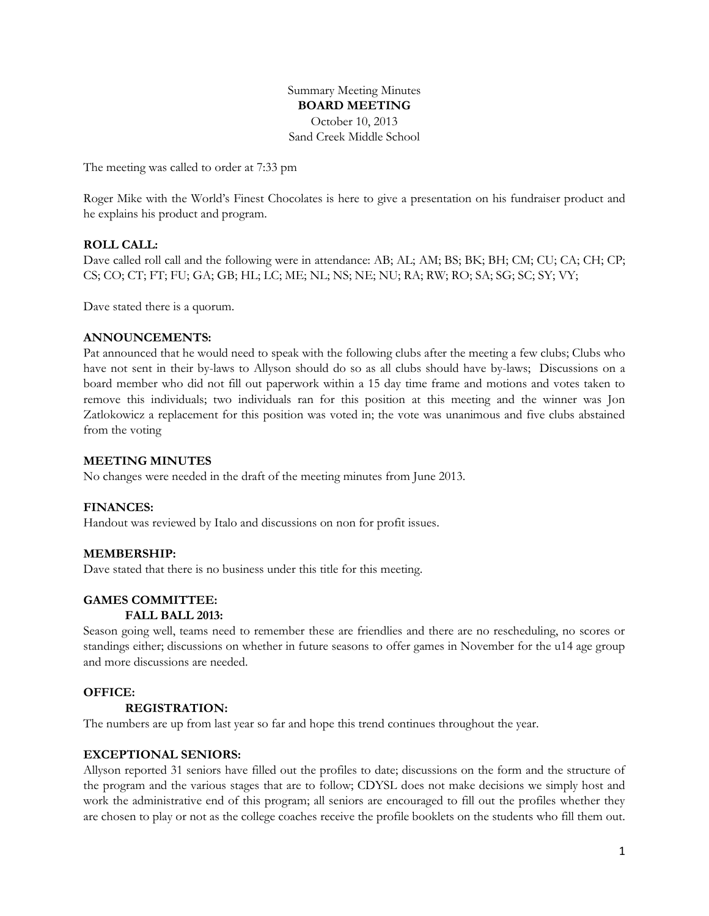Summary Meeting Minutes **BOARD MEETING** October 10, 2013 Sand Creek Middle School

The meeting was called to order at 7:33 pm

Roger Mike with the World's Finest Chocolates is here to give a presentation on his fundraiser product and he explains his product and program.

# **ROLL CALL:**

Dave called roll call and the following were in attendance: AB; AL; AM; BS; BK; BH; CM; CU; CA; CH; CP; CS; CO; CT; FT; FU; GA; GB; HL; LC; ME; NL; NS; NE; NU; RA; RW; RO; SA; SG; SC; SY; VY;

Dave stated there is a quorum.

#### **ANNOUNCEMENTS:**

Pat announced that he would need to speak with the following clubs after the meeting a few clubs; Clubs who have not sent in their by-laws to Allyson should do so as all clubs should have by-laws; Discussions on a board member who did not fill out paperwork within a 15 day time frame and motions and votes taken to remove this individuals; two individuals ran for this position at this meeting and the winner was Jon Zatlokowicz a replacement for this position was voted in; the vote was unanimous and five clubs abstained from the voting

#### **MEETING MINUTES**

No changes were needed in the draft of the meeting minutes from June 2013.

### **FINANCES:**

Handout was reviewed by Italo and discussions on non for profit issues.

### **MEMBERSHIP:**

Dave stated that there is no business under this title for this meeting.

## **GAMES COMMITTEE:**

### **FALL BALL 2013:**

Season going well, teams need to remember these are friendlies and there are no rescheduling, no scores or standings either; discussions on whether in future seasons to offer games in November for the u14 age group and more discussions are needed.

### **OFFICE:**

### **REGISTRATION:**

The numbers are up from last year so far and hope this trend continues throughout the year.

### **EXCEPTIONAL SENIORS:**

Allyson reported 31 seniors have filled out the profiles to date; discussions on the form and the structure of the program and the various stages that are to follow; CDYSL does not make decisions we simply host and work the administrative end of this program; all seniors are encouraged to fill out the profiles whether they are chosen to play or not as the college coaches receive the profile booklets on the students who fill them out.